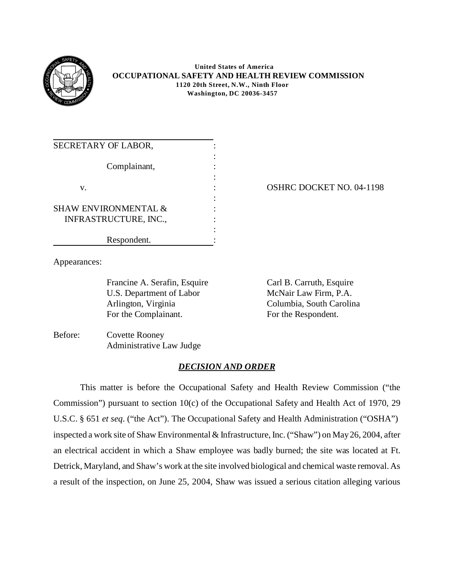

## **United States of America OCCUPATIONAL SAFETY AND HEALTH REVIEW COMMISSION 1120 20th Street, N.W., Ninth Floor Washington, DC 20036-3457**

| SECRETARY OF LABOR,             |  |
|---------------------------------|--|
|                                 |  |
| Complainant,                    |  |
|                                 |  |
| V.                              |  |
|                                 |  |
| <b>SHAW ENVIRONMENTAL &amp;</b> |  |
| <b>INFRASTRUCTURE, INC.,</b>    |  |
|                                 |  |
| Respondent.                     |  |

# OSHRC DOCKET NO. 04-1198

Appearances:

Francine A. Serafin, Esquire Carl B. Carruth, Esquire U.S. Department of Labor Arlington, Virginia For the Complainant.

McNair Law Firm, P.A. Columbia, South Carolina For the Respondent.

Before: Covette Rooney Administrative Law Judge

# *DECISION AND ORDER*

This matter is before the Occupational Safety and Health Review Commission ("the Commission") pursuant to section 10(c) of the Occupational Safety and Health Act of 1970, 29 U.S.C. § 651 *et seq*. ("the Act"). The Occupational Safety and Health Administration ("OSHA") inspected a work site of Shaw Environmental & Infrastructure, Inc. ("Shaw") on May 26, 2004, after an electrical accident in which a Shaw employee was badly burned; the site was located at Ft. Detrick, Maryland, and Shaw's work at the site involved biological and chemical waste removal. As a result of the inspection, on June 25, 2004, Shaw was issued a serious citation alleging various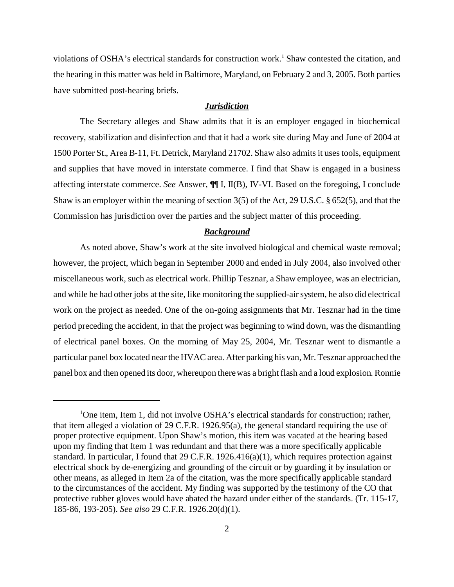violations of OSHA's electrical standards for construction work.<sup>1</sup> Shaw contested the citation, and the hearing in this matter was held in Baltimore, Maryland, on February 2 and 3, 2005. Both parties have submitted post-hearing briefs.

## *Jurisdiction*

The Secretary alleges and Shaw admits that it is an employer engaged in biochemical recovery, stabilization and disinfection and that it had a work site during May and June of 2004 at 1500 Porter St., Area B-11, Ft. Detrick, Maryland 21702. Shaw also admits it uses tools, equipment and supplies that have moved in interstate commerce. I find that Shaw is engaged in a business affecting interstate commerce. *See* Answer, ¶¶ I, II(B), IV-VI. Based on the foregoing, I conclude Shaw is an employer within the meaning of section 3(5) of the Act, 29 U.S.C. § 652(5), and that the Commission has jurisdiction over the parties and the subject matter of this proceeding.

## *Background*

As noted above, Shaw's work at the site involved biological and chemical waste removal; however, the project, which began in September 2000 and ended in July 2004, also involved other miscellaneous work, such as electrical work. Phillip Tesznar, a Shaw employee, was an electrician, and while he had other jobs at the site, like monitoring the supplied-air system, he also did electrical work on the project as needed. One of the on-going assignments that Mr. Tesznar had in the time period preceding the accident, in that the project was beginning to wind down, was the dismantling of electrical panel boxes. On the morning of May 25, 2004, Mr. Tesznar went to dismantle a particular panel box located near the HVAC area. After parking his van, Mr. Tesznar approached the panel box and then opened its door, whereupon there was a bright flash and a loud explosion. Ronnie

<sup>&</sup>lt;sup>1</sup>One item, Item 1, did not involve OSHA's electrical standards for construction; rather, that item alleged a violation of 29 C.F.R. 1926.95(a), the general standard requiring the use of proper protective equipment. Upon Shaw's motion, this item was vacated at the hearing based upon my finding that Item 1 was redundant and that there was a more specifically applicable standard. In particular, I found that 29 C.F.R. 1926.416(a)(1), which requires protection against electrical shock by de-energizing and grounding of the circuit or by guarding it by insulation or other means, as alleged in Item 2a of the citation, was the more specifically applicable standard to the circumstances of the accident. My finding was supported by the testimony of the CO that protective rubber gloves would have abated the hazard under either of the standards. (Tr. 115-17, 185-86, 193-205). *See also* 29 C.F.R. 1926.20(d)(1).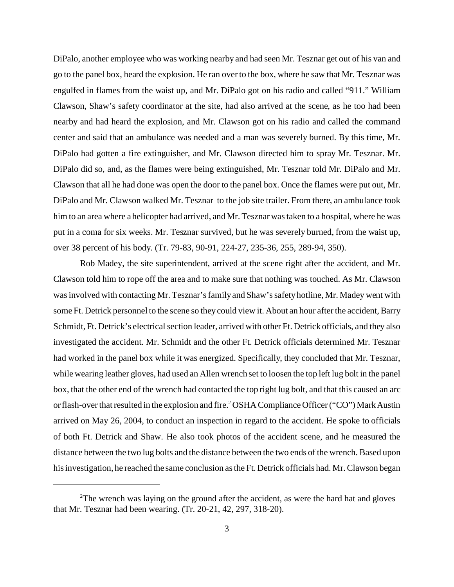DiPalo, another employee who was working nearby and had seen Mr. Tesznar get out of his van and go to the panel box, heard the explosion. He ran over to the box, where he saw that Mr. Tesznar was engulfed in flames from the waist up, and Mr. DiPalo got on his radio and called "911." William Clawson, Shaw's safety coordinator at the site, had also arrived at the scene, as he too had been nearby and had heard the explosion, and Mr. Clawson got on his radio and called the command center and said that an ambulance was needed and a man was severely burned. By this time, Mr. DiPalo had gotten a fire extinguisher, and Mr. Clawson directed him to spray Mr. Tesznar. Mr. DiPalo did so, and, as the flames were being extinguished, Mr. Tesznar told Mr. DiPalo and Mr. Clawson that all he had done was open the door to the panel box. Once the flames were put out, Mr. DiPalo and Mr. Clawson walked Mr. Tesznar to the job site trailer. From there, an ambulance took him to an area where a helicopter had arrived, and Mr. Tesznar was taken to a hospital, where he was put in a coma for six weeks. Mr. Tesznar survived, but he was severely burned, from the waist up, over 38 percent of his body. (Tr. 79-83, 90-91, 224-27, 235-36, 255, 289-94, 350).

Rob Madey, the site superintendent, arrived at the scene right after the accident, and Mr. Clawson told him to rope off the area and to make sure that nothing was touched. As Mr. Clawson was involved with contacting Mr. Tesznar's family and Shaw's safety hotline, Mr. Madey went with some Ft. Detrick personnel to the scene so they could view it. About an hour after the accident, Barry Schmidt, Ft. Detrick's electrical section leader, arrived with other Ft. Detrick officials, and they also investigated the accident. Mr. Schmidt and the other Ft. Detrick officials determined Mr. Tesznar had worked in the panel box while it was energized. Specifically, they concluded that Mr. Tesznar, while wearing leather gloves, had used an Allen wrench set to loosen the top left lug bolt in the panel box, that the other end of the wrench had contacted the top right lug bolt, and that this caused an arc or flash-over that resulted in the explosion and fire.<sup>2</sup> OSHA Compliance Officer ("CO") Mark Austin arrived on May 26, 2004, to conduct an inspection in regard to the accident. He spoke to officials of both Ft. Detrick and Shaw. He also took photos of the accident scene, and he measured the distance between the two lug bolts and the distance between the two ends of the wrench. Based upon his investigation, he reached the same conclusion as the Ft. Detrick officials had. Mr. Clawson began

 $2$ The wrench was laying on the ground after the accident, as were the hard hat and gloves that Mr. Tesznar had been wearing. (Tr. 20-21, 42, 297, 318-20).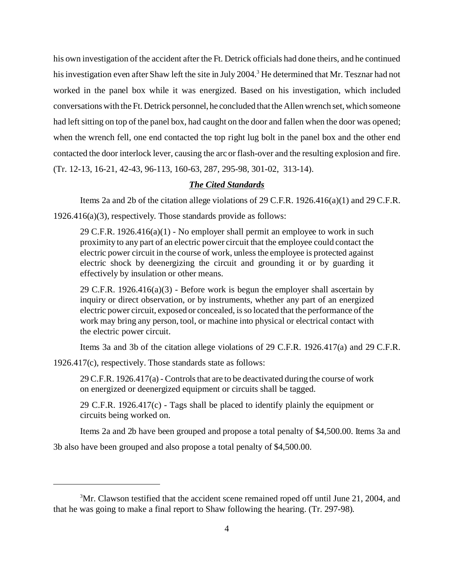his own investigation of the accident after the Ft. Detrick officials had done theirs, and he continued his investigation even after Shaw left the site in July 2004.<sup>3</sup> He determined that Mr. Tesznar had not worked in the panel box while it was energized. Based on his investigation, which included conversations with the Ft. Detrick personnel, he concluded that the Allen wrench set, which someone had left sitting on top of the panel box, had caught on the door and fallen when the door was opened; when the wrench fell, one end contacted the top right lug bolt in the panel box and the other end contacted the door interlock lever, causing the arc or flash-over and the resulting explosion and fire. (Tr. 12-13, 16-21, 42-43, 96-113, 160-63, 287, 295-98, 301-02, 313-14).

## *The Cited Standards*

Items 2a and 2b of the citation allege violations of 29 C.F.R.  $1926.416(a)(1)$  and 29 C.F.R.

1926.416(a)(3), respectively. Those standards provide as follows:

29 C.F.R. 1926.416(a)(1) - No employer shall permit an employee to work in such proximity to any part of an electric power circuit that the employee could contact the electric power circuit in the course of work, unless the employee is protected against electric shock by deenergizing the circuit and grounding it or by guarding it effectively by insulation or other means.

29 C.F.R. 1926.416(a)(3) - Before work is begun the employer shall ascertain by inquiry or direct observation, or by instruments, whether any part of an energized electric power circuit, exposed or concealed, is so located that the performance of the work may bring any person, tool, or machine into physical or electrical contact with the electric power circuit.

Items 3a and 3b of the citation allege violations of 29 C.F.R. 1926.417(a) and 29 C.F.R.

1926.417(c), respectively. Those standards state as follows:

29 C.F.R. 1926.417(a) - Controls that are to be deactivated during the course of work on energized or deenergized equipment or circuits shall be tagged.

29 C.F.R. 1926.417(c) - Tags shall be placed to identify plainly the equipment or circuits being worked on.

Items 2a and 2b have been grouped and propose a total penalty of \$4,500.00. Items 3a and

3b also have been grouped and also propose a total penalty of \$4,500.00.

<sup>&</sup>lt;sup>3</sup>Mr. Clawson testified that the accident scene remained roped off until June 21, 2004, and that he was going to make a final report to Shaw following the hearing. (Tr. 297-98).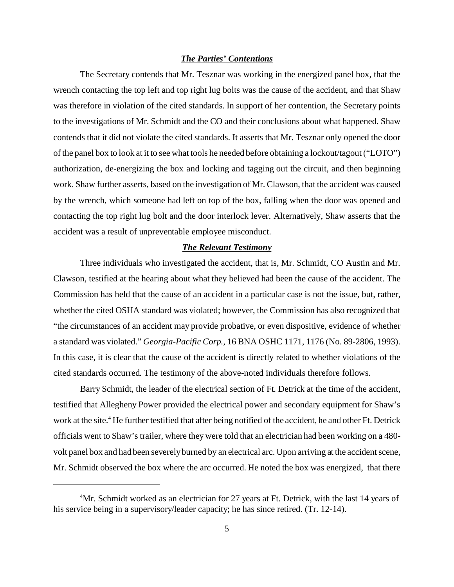#### *The Parties' Contentions*

The Secretary contends that Mr. Tesznar was working in the energized panel box, that the wrench contacting the top left and top right lug bolts was the cause of the accident, and that Shaw was therefore in violation of the cited standards. In support of her contention, the Secretary points to the investigations of Mr. Schmidt and the CO and their conclusions about what happened. Shaw contends that it did not violate the cited standards. It asserts that Mr. Tesznar only opened the door of the panel box to look at it to see what tools he needed before obtaining a lockout/tagout ("LOTO") authorization, de-energizing the box and locking and tagging out the circuit, and then beginning work. Shaw further asserts, based on the investigation of Mr. Clawson, that the accident was caused by the wrench, which someone had left on top of the box, falling when the door was opened and contacting the top right lug bolt and the door interlock lever. Alternatively, Shaw asserts that the accident was a result of unpreventable employee misconduct.

#### *The Relevant Testimony*

Three individuals who investigated the accident, that is, Mr. Schmidt, CO Austin and Mr. Clawson, testified at the hearing about what they believed had been the cause of the accident. The Commission has held that the cause of an accident in a particular case is not the issue, but, rather, whether the cited OSHA standard was violated; however, the Commission has also recognized that "the circumstances of an accident may provide probative, or even dispositive, evidence of whether a standard was violated." *Georgia-Pacific Corp.*, 16 BNA OSHC 1171, 1176 (No. 89-2806, 1993). In this case, it is clear that the cause of the accident is directly related to whether violations of the cited standards occurred. The testimony of the above-noted individuals therefore follows.

Barry Schmidt, the leader of the electrical section of Ft. Detrick at the time of the accident, testified that Allegheny Power provided the electrical power and secondary equipment for Shaw's work at the site.<sup>4</sup> He further testified that after being notified of the accident, he and other Ft. Detrick officials went to Shaw's trailer, where they were told that an electrician had been working on a 480 volt panel box and had been severely burned by an electrical arc. Upon arriving at the accident scene, Mr. Schmidt observed the box where the arc occurred. He noted the box was energized, that there

<sup>&</sup>lt;sup>4</sup>Mr. Schmidt worked as an electrician for 27 years at Ft. Detrick, with the last 14 years of his service being in a supervisory/leader capacity; he has since retired. (Tr. 12-14).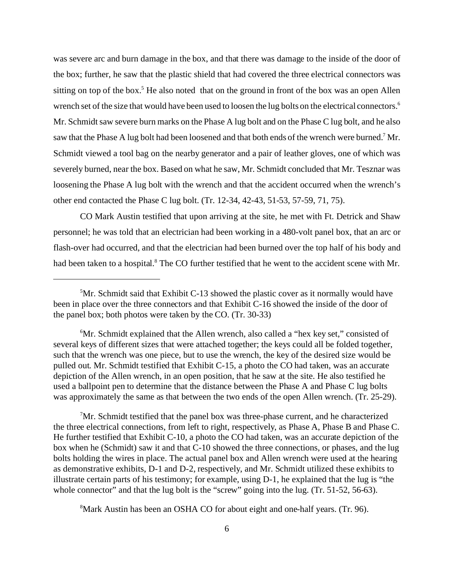was severe arc and burn damage in the box, and that there was damage to the inside of the door of the box; further, he saw that the plastic shield that had covered the three electrical connectors was sitting on top of the box.<sup>5</sup> He also noted that on the ground in front of the box was an open Allen wrench set of the size that would have been used to loosen the lug bolts on the electrical connectors.<sup>6</sup> Mr. Schmidt saw severe burn marks on the Phase A lug bolt and on the Phase C lug bolt, and he also saw that the Phase A lug bolt had been loosened and that both ends of the wrench were burned.<sup>7</sup> Mr. Schmidt viewed a tool bag on the nearby generator and a pair of leather gloves, one of which was severely burned, near the box. Based on what he saw, Mr. Schmidt concluded that Mr. Tesznar was loosening the Phase A lug bolt with the wrench and that the accident occurred when the wrench's other end contacted the Phase C lug bolt. (Tr. 12-34, 42-43, 51-53, 57-59, 71, 75).

CO Mark Austin testified that upon arriving at the site, he met with Ft. Detrick and Shaw personnel; he was told that an electrician had been working in a 480-volt panel box, that an arc or flash-over had occurred, and that the electrician had been burned over the top half of his body and had been taken to a hospital.<sup>8</sup> The CO further testified that he went to the accident scene with Mr.

<sup>7</sup>Mr. Schmidt testified that the panel box was three-phase current, and he characterized the three electrical connections, from left to right, respectively, as Phase A, Phase B and Phase C. He further testified that Exhibit C-10, a photo the CO had taken, was an accurate depiction of the box when he (Schmidt) saw it and that C-10 showed the three connections, or phases, and the lug bolts holding the wires in place. The actual panel box and Allen wrench were used at the hearing as demonstrative exhibits, D-1 and D-2, respectively, and Mr. Schmidt utilized these exhibits to illustrate certain parts of his testimony; for example, using D-1, he explained that the lug is "the whole connector" and that the lug bolt is the "screw" going into the lug. (Tr. 51-52, 56-63).

8 Mark Austin has been an OSHA CO for about eight and one-half years. (Tr. 96).

<sup>&</sup>lt;sup>5</sup>Mr. Schmidt said that Exhibit C-13 showed the plastic cover as it normally would have been in place over the three connectors and that Exhibit C-16 showed the inside of the door of the panel box; both photos were taken by the CO. (Tr. 30-33)

<sup>6</sup> Mr. Schmidt explained that the Allen wrench, also called a "hex key set," consisted of several keys of different sizes that were attached together; the keys could all be folded together, such that the wrench was one piece, but to use the wrench, the key of the desired size would be pulled out. Mr. Schmidt testified that Exhibit C-15, a photo the CO had taken, was an accurate depiction of the Allen wrench, in an open position, that he saw at the site. He also testified he used a ballpoint pen to determine that the distance between the Phase A and Phase C lug bolts was approximately the same as that between the two ends of the open Allen wrench. (Tr. 25-29).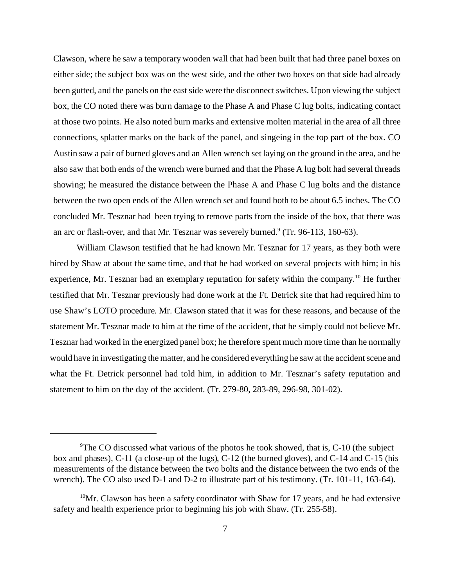Clawson, where he saw a temporary wooden wall that had been built that had three panel boxes on either side; the subject box was on the west side, and the other two boxes on that side had already been gutted, and the panels on the east side were the disconnect switches. Upon viewing the subject box, the CO noted there was burn damage to the Phase A and Phase C lug bolts, indicating contact at those two points. He also noted burn marks and extensive molten material in the area of all three connections, splatter marks on the back of the panel, and singeing in the top part of the box. CO Austin saw a pair of burned gloves and an Allen wrench set laying on the ground in the area, and he also saw that both ends of the wrench were burned and that the Phase A lug bolt had several threads showing; he measured the distance between the Phase A and Phase C lug bolts and the distance between the two open ends of the Allen wrench set and found both to be about 6.5 inches. The CO concluded Mr. Tesznar had been trying to remove parts from the inside of the box, that there was an arc or flash-over, and that Mr. Tesznar was severely burned. $9$  (Tr. 96-113, 160-63).

William Clawson testified that he had known Mr. Tesznar for 17 years, as they both were hired by Shaw at about the same time, and that he had worked on several projects with him; in his experience, Mr. Tesznar had an exemplary reputation for safety within the company.<sup>10</sup> He further testified that Mr. Tesznar previously had done work at the Ft. Detrick site that had required him to use Shaw's LOTO procedure. Mr. Clawson stated that it was for these reasons, and because of the statement Mr. Tesznar made to him at the time of the accident, that he simply could not believe Mr. Tesznar had worked in the energized panel box; he therefore spent much more time than he normally would have in investigating the matter, and he considered everything he saw at the accident scene and what the Ft. Detrick personnel had told him, in addition to Mr. Tesznar's safety reputation and statement to him on the day of the accident. (Tr. 279-80, 283-89, 296-98, 301-02).

<sup>&</sup>lt;sup>9</sup>The CO discussed what various of the photos he took showed, that is, C-10 (the subject box and phases), C-11 (a close-up of the lugs), C-12 (the burned gloves), and C-14 and C-15 (his measurements of the distance between the two bolts and the distance between the two ends of the wrench). The CO also used D-1 and D-2 to illustrate part of his testimony. (Tr. 101-11, 163-64).

 $10$ Mr. Clawson has been a safety coordinator with Shaw for 17 years, and he had extensive safety and health experience prior to beginning his job with Shaw. (Tr. 255-58).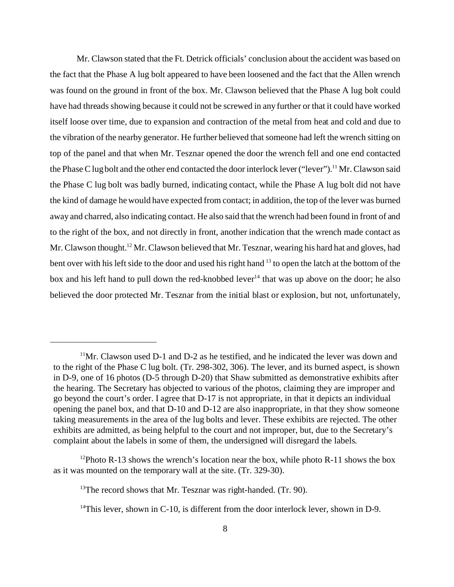Mr. Clawson stated that the Ft. Detrick officials' conclusion about the accident was based on the fact that the Phase A lug bolt appeared to have been loosened and the fact that the Allen wrench was found on the ground in front of the box. Mr. Clawson believed that the Phase A lug bolt could have had threads showing because it could not be screwed in any further or that it could have worked itself loose over time, due to expansion and contraction of the metal from heat and cold and due to the vibration of the nearby generator. He further believed that someone had left the wrench sitting on top of the panel and that when Mr. Tesznar opened the door the wrench fell and one end contacted the Phase C lug bolt and the other end contacted the door interlock lever ("lever").<sup>11</sup> Mr. Clawson said the Phase C lug bolt was badly burned, indicating contact, while the Phase A lug bolt did not have the kind of damage he would have expected from contact; in addition, the top of the lever was burned away and charred, also indicating contact. He also said that the wrench had been found in front of and to the right of the box, and not directly in front, another indication that the wrench made contact as Mr. Clawson thought.<sup>12</sup> Mr. Clawson believed that Mr. Tesznar, wearing his hard hat and gloves, had bent over with his left side to the door and used his right hand <sup>13</sup> to open the latch at the bottom of the box and his left hand to pull down the red-knobbed lever<sup>14</sup> that was up above on the door; he also believed the door protected Mr. Tesznar from the initial blast or explosion, but not, unfortunately,

 $11$ Mr. Clawson used D-1 and D-2 as he testified, and he indicated the lever was down and to the right of the Phase C lug bolt. (Tr. 298-302, 306). The lever, and its burned aspect, is shown in D-9, one of 16 photos (D-5 through D-20) that Shaw submitted as demonstrative exhibits after the hearing. The Secretary has objected to various of the photos, claiming they are improper and go beyond the court's order. I agree that D-17 is not appropriate, in that it depicts an individual opening the panel box, and that D-10 and D-12 are also inappropriate, in that they show someone taking measurements in the area of the lug bolts and lever. These exhibits are rejected. The other exhibits are admitted, as being helpful to the court and not improper, but, due to the Secretary's complaint about the labels in some of them, the undersigned will disregard the labels.

 $12P$ hoto R-13 shows the wrench's location near the box, while photo R-11 shows the box as it was mounted on the temporary wall at the site. (Tr. 329-30).

 $13$ <sup>13</sup>The record shows that Mr. Tesznar was right-handed. (Tr. 90).

 $14$ This lever, shown in C-10, is different from the door interlock lever, shown in D-9.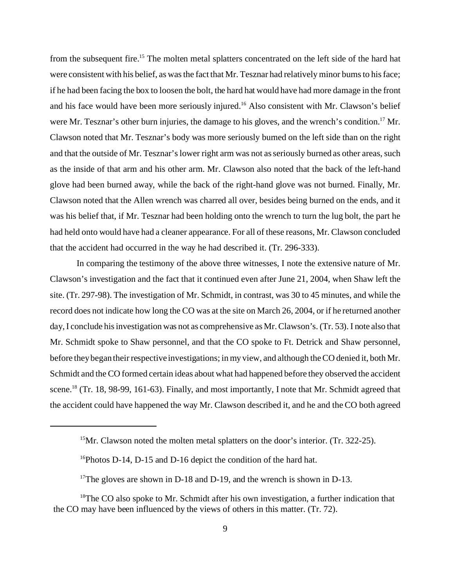from the subsequent fire.<sup>15</sup> The molten metal splatters concentrated on the left side of the hard hat were consistent with his belief, as was the fact that Mr. Tesznar had relatively minor burns to his face; if he had been facing the box to loosen the bolt, the hard hat would have had more damage in the front and his face would have been more seriously injured.<sup>16</sup> Also consistent with Mr. Clawson's belief were Mr. Tesznar's other burn injuries, the damage to his gloves, and the wrench's condition.<sup>17</sup> Mr. Clawson noted that Mr. Tesznar's body was more seriously burned on the left side than on the right and that the outside of Mr. Tesznar's lower right arm was not as seriously burned as other areas, such as the inside of that arm and his other arm. Mr. Clawson also noted that the back of the left-hand glove had been burned away, while the back of the right-hand glove was not burned. Finally, Mr. Clawson noted that the Allen wrench was charred all over, besides being burned on the ends, and it was his belief that, if Mr. Tesznar had been holding onto the wrench to turn the lug bolt, the part he had held onto would have had a cleaner appearance. For all of these reasons, Mr. Clawson concluded that the accident had occurred in the way he had described it. (Tr. 296-333).

In comparing the testimony of the above three witnesses, I note the extensive nature of Mr. Clawson's investigation and the fact that it continued even after June 21, 2004, when Shaw left the site. (Tr. 297-98). The investigation of Mr. Schmidt, in contrast, was 30 to 45 minutes, and while the record does not indicate how long the CO was at the site on March 26, 2004, or if he returned another day, I conclude his investigation was not as comprehensive as Mr. Clawson's. (Tr. 53). I note also that Mr. Schmidt spoke to Shaw personnel, and that the CO spoke to Ft. Detrick and Shaw personnel, before they began their respective investigations; in my view, and although the CO denied it, both Mr. Schmidt and the CO formed certain ideas about what had happened before they observed the accident scene.<sup>18</sup> (Tr. 18, 98-99, 161-63). Finally, and most importantly, I note that Mr. Schmidt agreed that the accident could have happened the way Mr. Clawson described it, and he and the CO both agreed

<sup>&</sup>lt;sup>15</sup>Mr. Clawson noted the molten metal splatters on the door's interior. (Tr. 322-25).

<sup>&</sup>lt;sup>16</sup>Photos D-14, D-15 and D-16 depict the condition of the hard hat.

<sup>&</sup>lt;sup>17</sup>The gloves are shown in D-18 and D-19, and the wrench is shown in D-13.

<sup>&</sup>lt;sup>18</sup>The CO also spoke to Mr. Schmidt after his own investigation, a further indication that the CO may have been influenced by the views of others in this matter. (Tr. 72).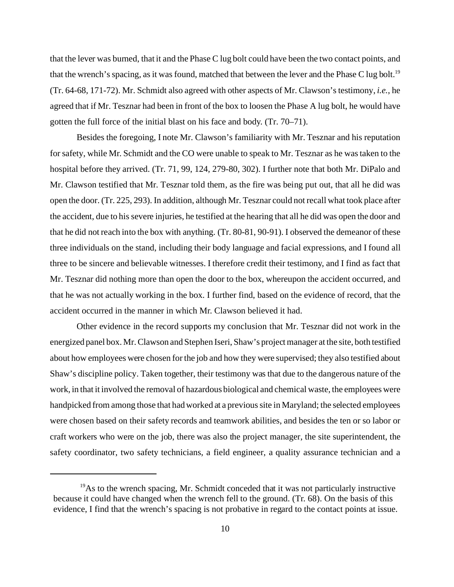that the lever was burned, that it and the Phase C lug bolt could have been the two contact points, and that the wrench's spacing, as it was found, matched that between the lever and the Phase C lug bolt.<sup>19</sup> (Tr. 64-68, 171-72). Mr. Schmidt also agreed with other aspects of Mr. Clawson's testimony, *i.e.*, he agreed that if Mr. Tesznar had been in front of the box to loosen the Phase A lug bolt, he would have gotten the full force of the initial blast on his face and body. (Tr. 70–71).

Besides the foregoing, I note Mr. Clawson's familiarity with Mr. Tesznar and his reputation for safety, while Mr. Schmidt and the CO were unable to speak to Mr. Tesznar as he was taken to the hospital before they arrived. (Tr. 71, 99, 124, 279-80, 302). I further note that both Mr. DiPalo and Mr. Clawson testified that Mr. Tesznar told them, as the fire was being put out, that all he did was open the door. (Tr. 225, 293). In addition, although Mr. Tesznar could not recall what took place after the accident, due to his severe injuries, he testified at the hearing that all he did was open the door and that he did not reach into the box with anything. (Tr. 80-81, 90-91). I observed the demeanor of these three individuals on the stand, including their body language and facial expressions, and I found all three to be sincere and believable witnesses. I therefore credit their testimony, and I find as fact that Mr. Tesznar did nothing more than open the door to the box, whereupon the accident occurred, and that he was not actually working in the box. I further find, based on the evidence of record, that the accident occurred in the manner in which Mr. Clawson believed it had.

Other evidence in the record supports my conclusion that Mr. Tesznar did not work in the energized panel box. Mr. Clawson and Stephen Iseri, Shaw's project manager at the site, both testified about how employees were chosen for the job and how they were supervised; they also testified about Shaw's discipline policy. Taken together, their testimony was that due to the dangerous nature of the work, in that it involved the removal of hazardous biological and chemical waste, the employees were handpicked from among those that had worked at a previous site in Maryland; the selected employees were chosen based on their safety records and teamwork abilities, and besides the ten or so labor or craft workers who were on the job, there was also the project manager, the site superintendent, the safety coordinator, two safety technicians, a field engineer, a quality assurance technician and a

 $19$ As to the wrench spacing, Mr. Schmidt conceded that it was not particularly instructive because it could have changed when the wrench fell to the ground. (Tr. 68). On the basis of this evidence, I find that the wrench's spacing is not probative in regard to the contact points at issue.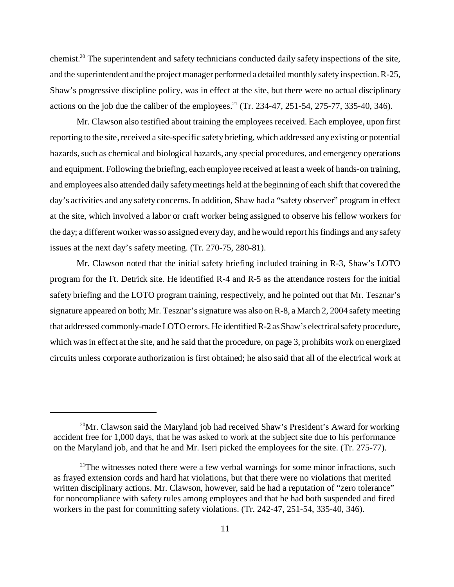chemist.<sup>20</sup> The superintendent and safety technicians conducted daily safety inspections of the site, and the superintendent and the project manager performed a detailed monthly safety inspection. R-25, Shaw's progressive discipline policy, was in effect at the site, but there were no actual disciplinary actions on the job due the caliber of the employees.<sup>21</sup> (Tr. 234-47, 251-54, 275-77, 335-40, 346).

Mr. Clawson also testified about training the employees received. Each employee, upon first reporting to the site, received a site-specific safety briefing, which addressed any existing or potential hazards, such as chemical and biological hazards, any special procedures, and emergency operations and equipment. Following the briefing, each employee received at least a week of hands-on training, and employees also attended daily safety meetings held at the beginning of each shift that covered the day's activities and any safety concerns. In addition, Shaw had a "safety observer" program in effect at the site, which involved a labor or craft worker being assigned to observe his fellow workers for the day; a different worker was so assigned every day, and he would report his findings and any safety issues at the next day's safety meeting. (Tr. 270-75, 280-81).

Mr. Clawson noted that the initial safety briefing included training in R-3, Shaw's LOTO program for the Ft. Detrick site. He identified R-4 and R-5 as the attendance rosters for the initial safety briefing and the LOTO program training, respectively, and he pointed out that Mr. Tesznar's signature appeared on both; Mr. Tesznar's signature was also on R-8, a March 2, 2004 safety meeting that addressed commonly-made LOTO errors. He identified R-2 as Shaw's electrical safety procedure, which was in effect at the site, and he said that the procedure, on page 3, prohibits work on energized circuits unless corporate authorization is first obtained; he also said that all of the electrical work at

 $20$ Mr. Clawson said the Maryland job had received Shaw's President's Award for working accident free for 1,000 days, that he was asked to work at the subject site due to his performance on the Maryland job, and that he and Mr. Iseri picked the employees for the site. (Tr. 275-77).

 $21$ <sup>21</sup>The witnesses noted there were a few verbal warnings for some minor infractions, such as frayed extension cords and hard hat violations, but that there were no violations that merited written disciplinary actions. Mr. Clawson, however, said he had a reputation of "zero tolerance" for noncompliance with safety rules among employees and that he had both suspended and fired workers in the past for committing safety violations. (Tr. 242-47, 251-54, 335-40, 346).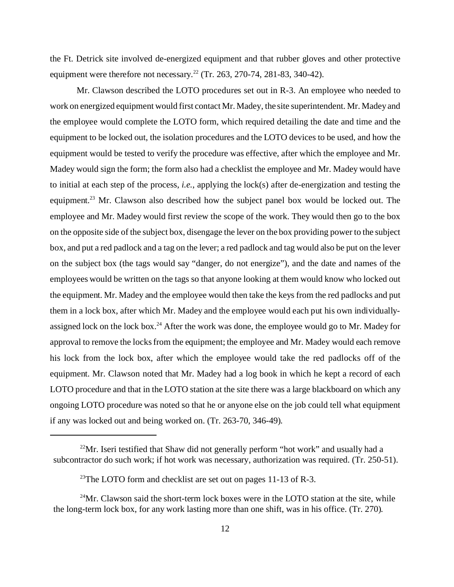the Ft. Detrick site involved de-energized equipment and that rubber gloves and other protective equipment were therefore not necessary.<sup>22</sup> (Tr. 263, 270-74, 281-83, 340-42).

Mr. Clawson described the LOTO procedures set out in R-3. An employee who needed to work on energized equipment would first contact Mr. Madey, the site superintendent. Mr. Madey and the employee would complete the LOTO form, which required detailing the date and time and the equipment to be locked out, the isolation procedures and the LOTO devices to be used, and how the equipment would be tested to verify the procedure was effective, after which the employee and Mr. Madey would sign the form; the form also had a checklist the employee and Mr. Madey would have to initial at each step of the process, *i.e.*, applying the lock(s) after de-energization and testing the equipment.<sup>23</sup> Mr. Clawson also described how the subject panel box would be locked out. The employee and Mr. Madey would first review the scope of the work. They would then go to the box on the opposite side of the subject box, disengage the lever on the box providing power to the subject box, and put a red padlock and a tag on the lever; a red padlock and tag would also be put on the lever on the subject box (the tags would say "danger, do not energize"), and the date and names of the employees would be written on the tags so that anyone looking at them would know who locked out the equipment. Mr. Madey and the employee would then take the keys from the red padlocks and put them in a lock box, after which Mr. Madey and the employee would each put his own individuallyassigned lock on the lock box.<sup>24</sup> After the work was done, the employee would go to Mr. Madey for approval to remove the locks from the equipment; the employee and Mr. Madey would each remove his lock from the lock box, after which the employee would take the red padlocks off of the equipment. Mr. Clawson noted that Mr. Madey had a log book in which he kept a record of each LOTO procedure and that in the LOTO station at the site there was a large blackboard on which any ongoing LOTO procedure was noted so that he or anyone else on the job could tell what equipment if any was locked out and being worked on. (Tr. 263-70, 346-49).

 $^{22}$ Mr. Iseri testified that Shaw did not generally perform "hot work" and usually had a subcontractor do such work; if hot work was necessary, authorization was required. (Tr. 250-51).

<sup>&</sup>lt;sup>23</sup>The LOTO form and checklist are set out on pages 11-13 of R-3.

<sup>&</sup>lt;sup>24</sup>Mr. Clawson said the short-term lock boxes were in the LOTO station at the site, while the long-term lock box, for any work lasting more than one shift, was in his office. (Tr. 270).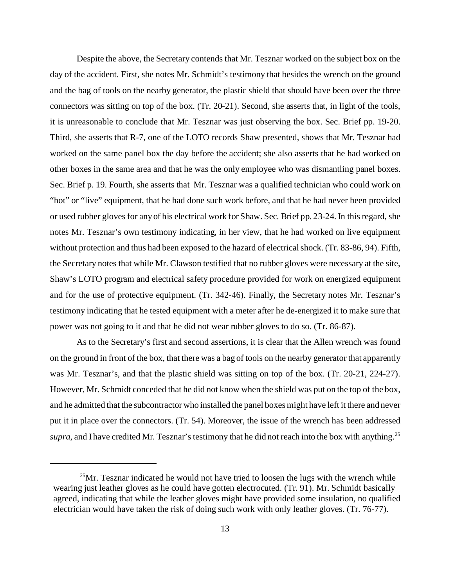Despite the above, the Secretary contends that Mr. Tesznar worked on the subject box on the day of the accident. First, she notes Mr. Schmidt's testimony that besides the wrench on the ground and the bag of tools on the nearby generator, the plastic shield that should have been over the three connectors was sitting on top of the box. (Tr. 20-21). Second, she asserts that, in light of the tools, it is unreasonable to conclude that Mr. Tesznar was just observing the box. Sec. Brief pp. 19-20. Third, she asserts that R-7, one of the LOTO records Shaw presented, shows that Mr. Tesznar had worked on the same panel box the day before the accident; she also asserts that he had worked on other boxes in the same area and that he was the only employee who was dismantling panel boxes. Sec. Brief p. 19. Fourth, she asserts that Mr. Tesznar was a qualified technician who could work on "hot" or "live" equipment, that he had done such work before, and that he had never been provided or used rubber gloves for any of his electrical work for Shaw. Sec. Brief pp. 23-24. In this regard, she notes Mr. Tesznar's own testimony indicating, in her view, that he had worked on live equipment without protection and thus had been exposed to the hazard of electrical shock. (Tr. 83-86, 94). Fifth, the Secretary notes that while Mr. Clawson testified that no rubber gloves were necessary at the site, Shaw's LOTO program and electrical safety procedure provided for work on energized equipment and for the use of protective equipment. (Tr. 342-46). Finally, the Secretary notes Mr. Tesznar's testimony indicating that he tested equipment with a meter after he de-energized it to make sure that power was not going to it and that he did not wear rubber gloves to do so. (Tr. 86-87).

As to the Secretary's first and second assertions, it is clear that the Allen wrench was found on the ground in front of the box, that there was a bag of tools on the nearby generator that apparently was Mr. Tesznar's, and that the plastic shield was sitting on top of the box. (Tr. 20-21, 224-27). However, Mr. Schmidt conceded that he did not know when the shield was put on the top of the box, and he admitted that the subcontractor who installed the panel boxes might have left it there and never put it in place over the connectors. (Tr. 54). Moreover, the issue of the wrench has been addressed *supra*, and I have credited Mr. Tesznar's testimony that he did not reach into the box with anything.<sup>25</sup>

 $^{25}$ Mr. Tesznar indicated he would not have tried to loosen the lugs with the wrench while wearing just leather gloves as he could have gotten electrocuted. (Tr. 91). Mr. Schmidt basically agreed, indicating that while the leather gloves might have provided some insulation, no qualified electrician would have taken the risk of doing such work with only leather gloves. (Tr. 76-77).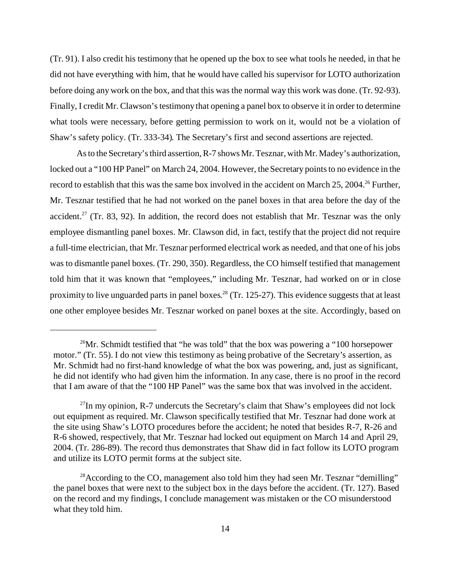(Tr. 91). I also credit his testimony that he opened up the box to see what tools he needed, in that he did not have everything with him, that he would have called his supervisor for LOTO authorization before doing any work on the box, and that this was the normal way this work was done. (Tr. 92-93). Finally, I credit Mr. Clawson's testimony that opening a panel box to observe it in order to determine what tools were necessary, before getting permission to work on it, would not be a violation of Shaw's safety policy. (Tr. 333-34). The Secretary's first and second assertions are rejected.

As to the Secretary's third assertion, R-7 shows Mr. Tesznar, with Mr. Madey's authorization, locked out a "100 HP Panel" on March 24, 2004. However, the Secretary points to no evidence in the record to establish that this was the same box involved in the accident on March 25, 2004.<sup>26</sup> Further, Mr. Tesznar testified that he had not worked on the panel boxes in that area before the day of the accident.<sup>27</sup> (Tr. 83, 92). In addition, the record does not establish that Mr. Tesznar was the only employee dismantling panel boxes. Mr. Clawson did, in fact, testify that the project did not require a full-time electrician, that Mr. Tesznar performed electrical work as needed, and that one of his jobs was to dismantle panel boxes. (Tr. 290, 350). Regardless, the CO himself testified that management told him that it was known that "employees," including Mr. Tesznar, had worked on or in close proximity to live unguarded parts in panel boxes.<sup>28</sup> (Tr. 125-27). This evidence suggests that at least one other employee besides Mr. Tesznar worked on panel boxes at the site. Accordingly, based on

<sup>&</sup>lt;sup>26</sup>Mr. Schmidt testified that "he was told" that the box was powering a "100 horsepower motor." (Tr. 55). I do not view this testimony as being probative of the Secretary's assertion, as Mr. Schmidt had no first-hand knowledge of what the box was powering, and, just as significant, he did not identify who had given him the information. In any case, there is no proof in the record that I am aware of that the "100 HP Panel" was the same box that was involved in the accident.

 $^{27}$ In my opinion, R-7 undercuts the Secretary's claim that Shaw's employees did not lock out equipment as required. Mr. Clawson specifically testified that Mr. Tesznar had done work at the site using Shaw's LOTO procedures before the accident; he noted that besides R-7, R-26 and R-6 showed, respectively, that Mr. Tesznar had locked out equipment on March 14 and April 29, 2004. (Tr. 286-89). The record thus demonstrates that Shaw did in fact follow its LOTO program and utilize its LOTO permit forms at the subject site.

<sup>&</sup>lt;sup>28</sup>According to the CO, management also told him they had seen Mr. Tesznar "demilling" the panel boxes that were next to the subject box in the days before the accident. (Tr. 127). Based on the record and my findings, I conclude management was mistaken or the CO misunderstood what they told him.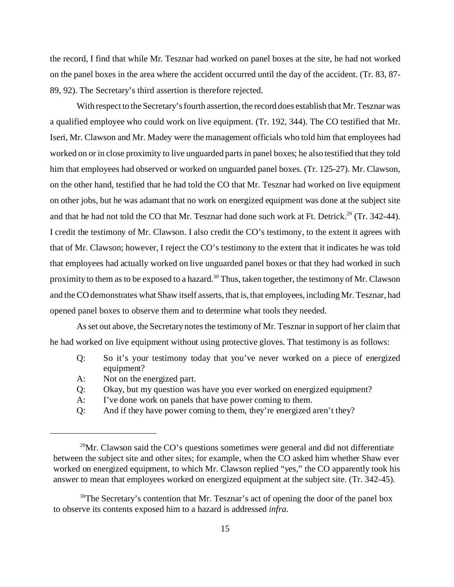the record, I find that while Mr. Tesznar had worked on panel boxes at the site, he had not worked on the panel boxes in the area where the accident occurred until the day of the accident. (Tr. 83, 87 89, 92). The Secretary's third assertion is therefore rejected.

With respect to the Secretary's fourth assertion, the record does establish that Mr. Tesznar was a qualified employee who could work on live equipment. (Tr. 192, 344). The CO testified that Mr. Iseri, Mr. Clawson and Mr. Madey were the management officials who told him that employees had worked on or in close proximity to live unguarded parts in panel boxes; he also testified that they told him that employees had observed or worked on unguarded panel boxes. (Tr. 125-27). Mr. Clawson, on the other hand, testified that he had told the CO that Mr. Tesznar had worked on live equipment on other jobs, but he was adamant that no work on energized equipment was done at the subject site and that he had not told the CO that Mr. Tesznar had done such work at Ft. Detrick.<sup>29</sup> (Tr. 342-44). I credit the testimony of Mr. Clawson. I also credit the CO's testimony, to the extent it agrees with that of Mr. Clawson; however, I reject the CO's testimony to the extent that it indicates he was told that employees had actually worked on live unguarded panel boxes or that they had worked in such proximity to them as to be exposed to a hazard.<sup>30</sup> Thus, taken together, the testimony of Mr. Clawson and the CO demonstrates what Shaw itself asserts, that is, that employees, including Mr. Tesznar, had opened panel boxes to observe them and to determine what tools they needed.

As set out above, the Secretary notes the testimony of Mr. Tesznar in support of her claim that he had worked on live equipment without using protective gloves. That testimony is as follows:

- Q: So it's your testimony today that you've never worked on a piece of energized equipment?
- A: Not on the energized part.
- Q: Okay, but my question was have you ever worked on energized equipment?
- A: I've done work on panels that have power coming to them.
- Q: And if they have power coming to them, they're energized aren't they?

 $29$ Mr. Clawson said the CO's questions sometimes were general and did not differentiate between the subject site and other sites; for example, when the CO asked him whether Shaw ever worked on energized equipment, to which Mr. Clawson replied "yes," the CO apparently took his answer to mean that employees worked on energized equipment at the subject site. (Tr. 342-45).

<sup>&</sup>lt;sup>30</sup>The Secretary's contention that Mr. Tesznar's act of opening the door of the panel box to observe its contents exposed him to a hazard is addressed *infra*.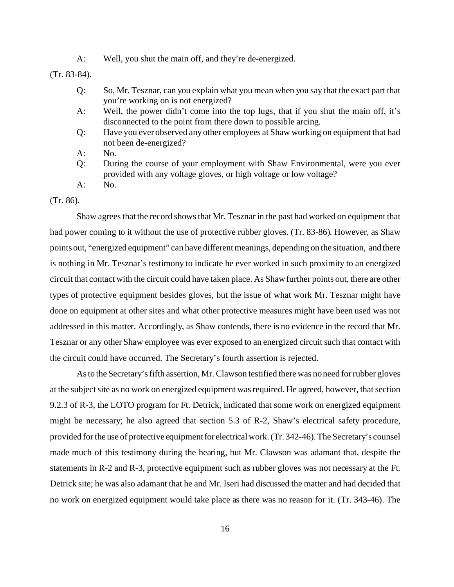A: Well, you shut the main off, and they're de-energized.

(Tr. 83-84).

- Q: So, Mr. Tesznar, can you explain what you mean when you say that the exact part that you're working on is not energized?
- A: Well, the power didn't come into the top lugs, that if you shut the main off, it's disconnected to the point from there down to possible arcing.
- Q: Have you ever observed any other employees at Shaw working on equipment that had not been de-energized?
- A: No.
- Q: During the course of your employment with Shaw Environmental, were you ever provided with any voltage gloves, or high voltage or low voltage?
- A: No.

### (Tr. 86).

Shaw agrees that the record shows that Mr. Tesznar in the past had worked on equipment that had power coming to it without the use of protective rubber gloves. (Tr. 83-86). However, as Shaw points out, "energized equipment" can have different meanings, depending on the situation, and there is nothing in Mr. Tesznar's testimony to indicate he ever worked in such proximity to an energized circuit that contact with the circuit could have taken place. As Shaw further points out, there are other types of protective equipment besides gloves, but the issue of what work Mr. Tesznar might have done on equipment at other sites and what other protective measures might have been used was not addressed in this matter. Accordingly, as Shaw contends, there is no evidence in the record that Mr. Tesznar or any other Shaw employee was ever exposed to an energized circuit such that contact with the circuit could have occurred. The Secretary's fourth assertion is rejected.

As to the Secretary's fifth assertion, Mr. Clawson testified there was no need for rubber gloves at the subject site as no work on energized equipment was required. He agreed, however, that section 9.2.3 of R-3, the LOTO program for Ft. Detrick, indicated that some work on energized equipment might be necessary; he also agreed that section 5.3 of R-2, Shaw's electrical safety procedure, provided for the use of protective equipment for electrical work. (Tr. 342-46). The Secretary's counsel made much of this testimony during the hearing, but Mr. Clawson was adamant that, despite the statements in R-2 and R-3, protective equipment such as rubber gloves was not necessary at the Ft. Detrick site; he was also adamant that he and Mr. Iseri had discussed the matter and had decided that no work on energized equipment would take place as there was no reason for it. (Tr. 343-46). The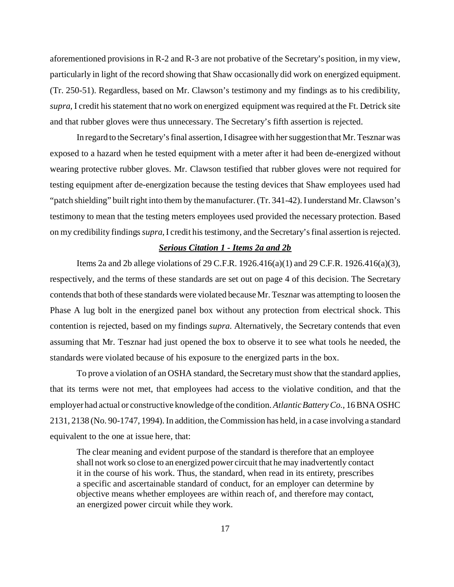aforementioned provisions in R-2 and R-3 are not probative of the Secretary's position, in my view, particularly in light of the record showing that Shaw occasionally did work on energized equipment. (Tr. 250-51). Regardless, based on Mr. Clawson's testimony and my findings as to his credibility, *supra*, I credit his statement that no work on energized equipment was required at the Ft. Detrick site and that rubber gloves were thus unnecessary. The Secretary's fifth assertion is rejected.

In regard to the Secretary's final assertion, I disagree with her suggestion that Mr. Tesznar was exposed to a hazard when he tested equipment with a meter after it had been de-energized without wearing protective rubber gloves. Mr. Clawson testified that rubber gloves were not required for testing equipment after de-energization because the testing devices that Shaw employees used had "patch shielding" built right into them by the manufacturer. (Tr. 341-42). I understand Mr. Clawson's testimony to mean that the testing meters employees used provided the necessary protection. Based on my credibility findings *supra*, I credit his testimony, and the Secretary's final assertion is rejected.

#### *Serious Citation 1 - Items 2a and 2b*

Items 2a and 2b allege violations of 29 C.F.R. 1926.416(a)(1) and 29 C.F.R. 1926.416(a)(3), respectively, and the terms of these standards are set out on page 4 of this decision. The Secretary contends that both of these standards were violated because Mr. Tesznar was attempting to loosen the Phase A lug bolt in the energized panel box without any protection from electrical shock. This contention is rejected, based on my findings *supra*. Alternatively, the Secretary contends that even assuming that Mr. Tesznar had just opened the box to observe it to see what tools he needed, the standards were violated because of his exposure to the energized parts in the box.

To prove a violation of an OSHA standard, the Secretary must show that the standard applies, that its terms were not met, that employees had access to the violative condition, and that the employer had actual or constructive knowledge of the condition. *Atlantic Battery Co.*, 16 BNA OSHC 2131, 2138 (No. 90-1747, 1994). In addition, the Commission has held, in a case involving a standard equivalent to the one at issue here, that:

The clear meaning and evident purpose of the standard is therefore that an employee shall not work so close to an energized power circuit that he may inadvertently contact it in the course of his work. Thus, the standard, when read in its entirety, prescribes a specific and ascertainable standard of conduct, for an employer can determine by objective means whether employees are within reach of, and therefore may contact, an energized power circuit while they work.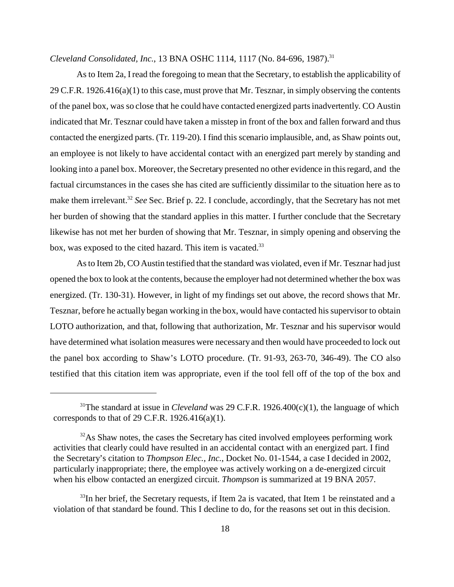*Cleveland Consolidated, Inc., 13 BNA OSHC 1114, 1117 (No. 84-696, 1987).*<sup>31</sup>

As to Item 2a, I read the foregoing to mean that the Secretary, to establish the applicability of 29 C.F.R.  $1926.416(a)(1)$  to this case, must prove that Mr. Tesznar, in simply observing the contents of the panel box, was so close that he could have contacted energized parts inadvertently. CO Austin indicated that Mr. Tesznar could have taken a misstep in front of the box and fallen forward and thus contacted the energized parts. (Tr. 119-20). I find this scenario implausible, and, as Shaw points out, an employee is not likely to have accidental contact with an energized part merely by standing and looking into a panel box. Moreover, the Secretary presented no other evidence in this regard, and the factual circumstances in the cases she has cited are sufficiently dissimilar to the situation here as to make them irrelevant.<sup>32</sup> *See* Sec. Brief p. 22. I conclude, accordingly, that the Secretary has not met her burden of showing that the standard applies in this matter. I further conclude that the Secretary likewise has not met her burden of showing that Mr. Tesznar, in simply opening and observing the box, was exposed to the cited hazard. This item is vacated.<sup>33</sup>

As to Item 2b, CO Austin testified that the standard was violated, even if Mr. Tesznar had just opened the box to look at the contents, because the employer had not determined whether the box was energized. (Tr. 130-31). However, in light of my findings set out above, the record shows that Mr. Tesznar, before he actually began working in the box, would have contacted his supervisor to obtain LOTO authorization, and that, following that authorization, Mr. Tesznar and his supervisor would have determined what isolation measures were necessary and then would have proceeded to lock out the panel box according to Shaw's LOTO procedure. (Tr. 91-93, 263-70, 346-49). The CO also testified that this citation item was appropriate, even if the tool fell off of the top of the box and

<sup>&</sup>lt;sup>31</sup>The standard at issue in *Cleveland* was 29 C.F.R. 1926.400(c)(1), the language of which corresponds to that of 29 C.F.R. 1926.416(a)(1).

 $32\text{As}$  Shaw notes, the cases the Secretary has cited involved employees performing work activities that clearly could have resulted in an accidental contact with an energized part. I find the Secretary's citation to *Thompson Elec., Inc.*, Docket No. 01-1544, a case I decided in 2002, particularly inappropriate; there, the employee was actively working on a de-energized circuit when his elbow contacted an energized circuit. *Thompson* is summarized at 19 BNA 2057.

 $33$ In her brief, the Secretary requests, if Item 2a is vacated, that Item 1 be reinstated and a violation of that standard be found. This I decline to do, for the reasons set out in this decision.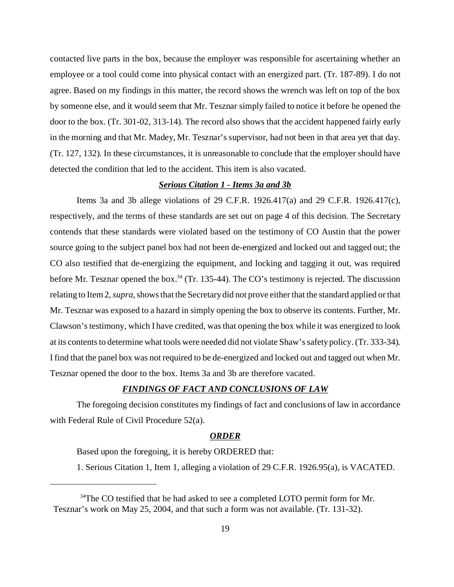contacted live parts in the box, because the employer was responsible for ascertaining whether an employee or a tool could come into physical contact with an energized part. (Tr. 187-89). I do not agree. Based on my findings in this matter, the record shows the wrench was left on top of the box by someone else, and it would seem that Mr. Tesznar simply failed to notice it before he opened the door to the box. (Tr. 301-02, 313-14). The record also shows that the accident happened fairly early in the morning and that Mr. Madey, Mr. Tesznar's supervisor, had not been in that area yet that day. (Tr. 127, 132). In these circumstances, it is unreasonable to conclude that the employer should have detected the condition that led to the accident. This item is also vacated.

# *Serious Citation 1 - Items 3a and 3b*

Items 3a and 3b allege violations of 29 C.F.R. 1926.417(a) and 29 C.F.R. 1926.417(c), respectively, and the terms of these standards are set out on page 4 of this decision. The Secretary contends that these standards were violated based on the testimony of CO Austin that the power source going to the subject panel box had not been de-energized and locked out and tagged out; the CO also testified that de-energizing the equipment, and locking and tagging it out, was required before Mr. Tesznar opened the box.<sup>34</sup> (Tr. 135-44). The CO's testimony is rejected. The discussion relating to Item 2, *supra*, shows that the Secretary did not prove either that the standard applied or that Mr. Tesznar was exposed to a hazard in simply opening the box to observe its contents. Further, Mr. Clawson's testimony, which I have credited, was that opening the box while it was energized to look at its contents to determine what tools were needed did not violate Shaw's safety policy. (Tr. 333-34). I find that the panel box was not required to be de-energized and locked out and tagged out when Mr. Tesznar opened the door to the box. Items 3a and 3b are therefore vacated.

# *FINDINGS OF FACT AND CONCLUSIONS OF LAW*

The foregoing decision constitutes my findings of fact and conclusions of law in accordance with Federal Rule of Civil Procedure 52(a).

# *ORDER*

Based upon the foregoing, it is hereby ORDERED that:

1. Serious Citation 1, Item 1, alleging a violation of 29 C.F.R. 1926.95(a), is VACATED.

<sup>&</sup>lt;sup>34</sup>The CO testified that he had asked to see a completed LOTO permit form for Mr. Tesznar's work on May 25, 2004, and that such a form was not available. (Tr. 131-32).